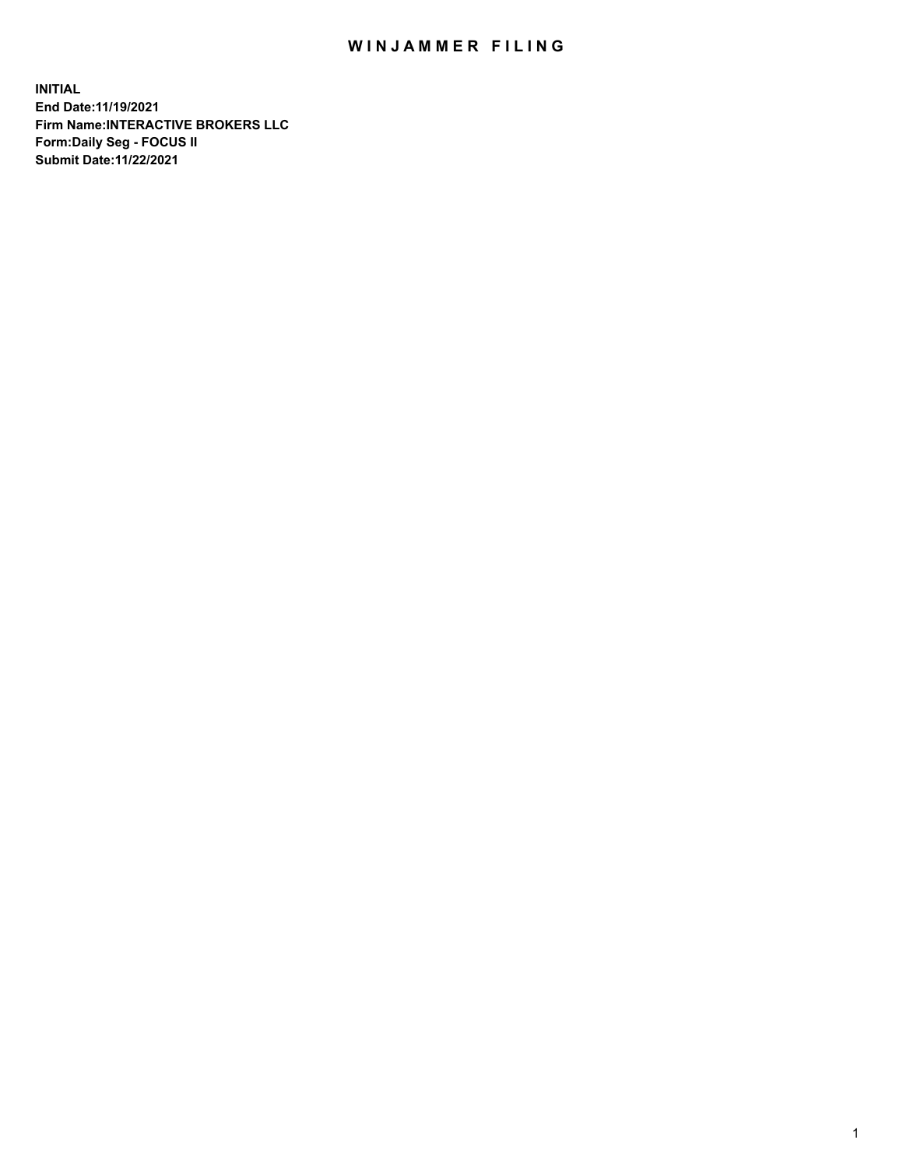## WIN JAMMER FILING

**INITIAL End Date:11/19/2021 Firm Name:INTERACTIVE BROKERS LLC Form:Daily Seg - FOCUS II Submit Date:11/22/2021**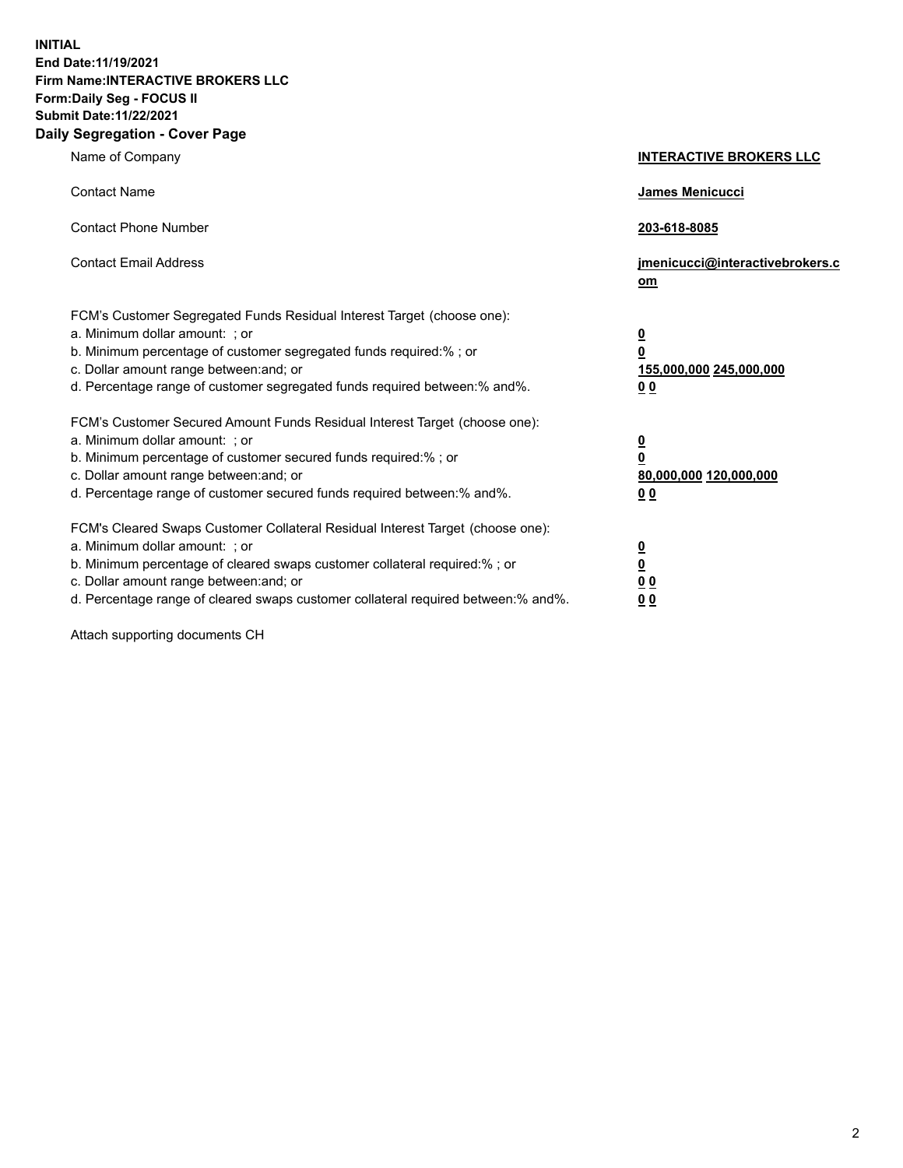**INITIAL End Date:11/19/2021 Firm Name:INTERACTIVE BROKERS LLC Form:Daily Seg - FOCUS II Submit Date:11/22/2021 Daily Segregation - Cover Page**

| Name of Company                                                                                                                                                                                                                                                                                                                | <b>INTERACTIVE BROKERS LLC</b>                                              |
|--------------------------------------------------------------------------------------------------------------------------------------------------------------------------------------------------------------------------------------------------------------------------------------------------------------------------------|-----------------------------------------------------------------------------|
| <b>Contact Name</b>                                                                                                                                                                                                                                                                                                            | James Menicucci                                                             |
| <b>Contact Phone Number</b>                                                                                                                                                                                                                                                                                                    | 203-618-8085                                                                |
| <b>Contact Email Address</b>                                                                                                                                                                                                                                                                                                   | jmenicucci@interactivebrokers.c<br>om                                       |
| FCM's Customer Segregated Funds Residual Interest Target (choose one):<br>a. Minimum dollar amount: ; or<br>b. Minimum percentage of customer segregated funds required:% ; or<br>c. Dollar amount range between: and; or<br>d. Percentage range of customer segregated funds required between:% and%.                         | <u>0</u><br>$\overline{\mathbf{0}}$<br>155,000,000 245,000,000<br><u>00</u> |
| FCM's Customer Secured Amount Funds Residual Interest Target (choose one):<br>a. Minimum dollar amount: : or<br>b. Minimum percentage of customer secured funds required:%; or<br>c. Dollar amount range between: and; or<br>d. Percentage range of customer secured funds required between:% and%.                            | $\frac{0}{0}$<br>80,000,000 120,000,000<br><u>00</u>                        |
| FCM's Cleared Swaps Customer Collateral Residual Interest Target (choose one):<br>a. Minimum dollar amount: ; or<br>b. Minimum percentage of cleared swaps customer collateral required:% ; or<br>c. Dollar amount range between: and; or<br>d. Percentage range of cleared swaps customer collateral required between:% and%. | $\frac{0}{0}$<br>$\underline{0}$ $\underline{0}$<br>0 <sub>0</sub>          |

Attach supporting documents CH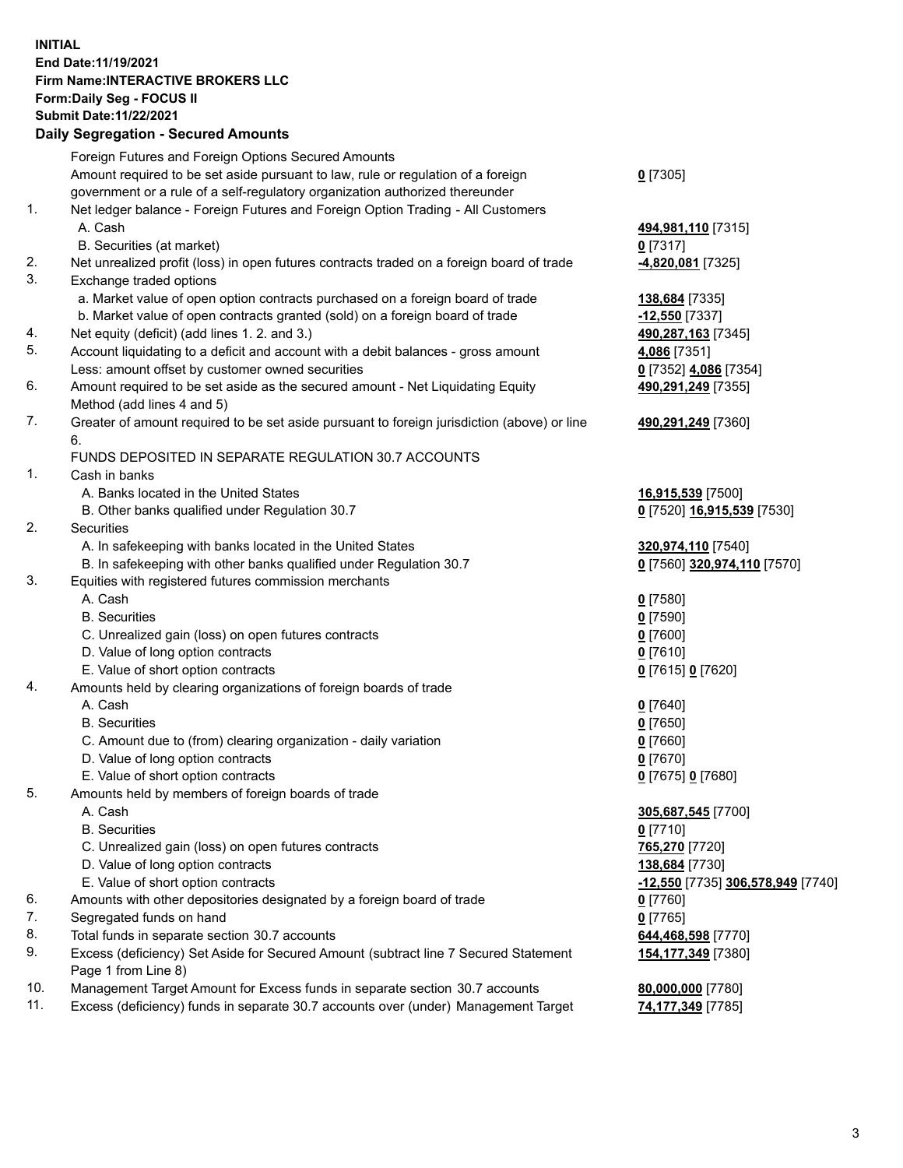## **INITIAL End Date:11/19/2021 Firm Name:INTERACTIVE BROKERS LLC Form:Daily Seg - FOCUS II Submit Date:11/22/2021 Daily Segregation - Secured Amounts**

|     | Dany Ocgregation - Occurea Anioants                                                               |                                   |
|-----|---------------------------------------------------------------------------------------------------|-----------------------------------|
|     | Foreign Futures and Foreign Options Secured Amounts                                               |                                   |
|     | Amount required to be set aside pursuant to law, rule or regulation of a foreign                  | $0$ [7305]                        |
|     | government or a rule of a self-regulatory organization authorized thereunder                      |                                   |
| 1.  | Net ledger balance - Foreign Futures and Foreign Option Trading - All Customers                   |                                   |
|     | A. Cash                                                                                           | 494,981,110 [7315]                |
|     | B. Securities (at market)                                                                         | $0$ [7317]                        |
| 2.  | Net unrealized profit (loss) in open futures contracts traded on a foreign board of trade         | 4,820,081 [7325]                  |
| 3.  | Exchange traded options                                                                           |                                   |
|     | a. Market value of open option contracts purchased on a foreign board of trade                    | 138,684 [7335]                    |
|     | b. Market value of open contracts granted (sold) on a foreign board of trade                      | $-12,550$ [7337]                  |
| 4.  | Net equity (deficit) (add lines 1. 2. and 3.)                                                     | 490,287,163 [7345]                |
| 5.  | Account liquidating to a deficit and account with a debit balances - gross amount                 | 4,086 [7351]                      |
|     | Less: amount offset by customer owned securities                                                  | 0 [7352] 4,086 [7354]             |
| 6.  | Amount required to be set aside as the secured amount - Net Liquidating Equity                    | 490,291,249 [7355]                |
|     | Method (add lines 4 and 5)                                                                        |                                   |
| 7.  | Greater of amount required to be set aside pursuant to foreign jurisdiction (above) or line<br>6. | 490,291,249 [7360]                |
|     | FUNDS DEPOSITED IN SEPARATE REGULATION 30.7 ACCOUNTS                                              |                                   |
| 1.  | Cash in banks                                                                                     |                                   |
|     | A. Banks located in the United States                                                             | 16,915,539 [7500]                 |
|     | B. Other banks qualified under Regulation 30.7                                                    | 0 [7520] 16,915,539 [7530]        |
| 2.  | <b>Securities</b>                                                                                 |                                   |
|     | A. In safekeeping with banks located in the United States                                         | 320,974,110 [7540]                |
|     | B. In safekeeping with other banks qualified under Regulation 30.7                                | 0 [7560] 320,974,110 [7570]       |
| 3.  | Equities with registered futures commission merchants                                             |                                   |
|     | A. Cash                                                                                           | $0$ [7580]                        |
|     | <b>B.</b> Securities                                                                              | $0$ [7590]                        |
|     | C. Unrealized gain (loss) on open futures contracts                                               | $0$ [7600]                        |
|     | D. Value of long option contracts                                                                 | $0$ [7610]                        |
|     | E. Value of short option contracts                                                                | 0 [7615] 0 [7620]                 |
| 4.  | Amounts held by clearing organizations of foreign boards of trade                                 |                                   |
|     | A. Cash                                                                                           | $0$ [7640]                        |
|     | <b>B.</b> Securities                                                                              | $0$ [7650]                        |
|     | C. Amount due to (from) clearing organization - daily variation                                   | $0$ [7660]                        |
|     | D. Value of long option contracts                                                                 | $0$ [7670]                        |
|     | E. Value of short option contracts                                                                | 0 [7675] 0 [7680]                 |
| 5.  | Amounts held by members of foreign boards of trade                                                |                                   |
|     | A. Cash                                                                                           | 305,687,545 [7700]                |
|     | <b>B.</b> Securities                                                                              | $0$ [7710]                        |
|     | C. Unrealized gain (loss) on open futures contracts                                               | 765,270 [7720]                    |
|     | D. Value of long option contracts                                                                 | 138,684 [7730]                    |
|     | E. Value of short option contracts                                                                | -12,550 [7735] 306,578,949 [7740] |
| 6.  | Amounts with other depositories designated by a foreign board of trade                            | $0$ [7760]                        |
| 7.  | Segregated funds on hand                                                                          | $0$ [7765]                        |
| 8.  | Total funds in separate section 30.7 accounts                                                     | 644,468,598 [7770]                |
| 9.  | Excess (deficiency) Set Aside for Secured Amount (subtract line 7 Secured Statement               | 154,177,349 [7380]                |
|     | Page 1 from Line 8)                                                                               |                                   |
| 10. | Management Target Amount for Excess funds in separate section 30.7 accounts                       | 80,000,000 [7780]                 |
| 11. | Excess (deficiency) funds in separate 30.7 accounts over (under) Management Target                | <u>74,177,349</u> [7785]          |
|     |                                                                                                   |                                   |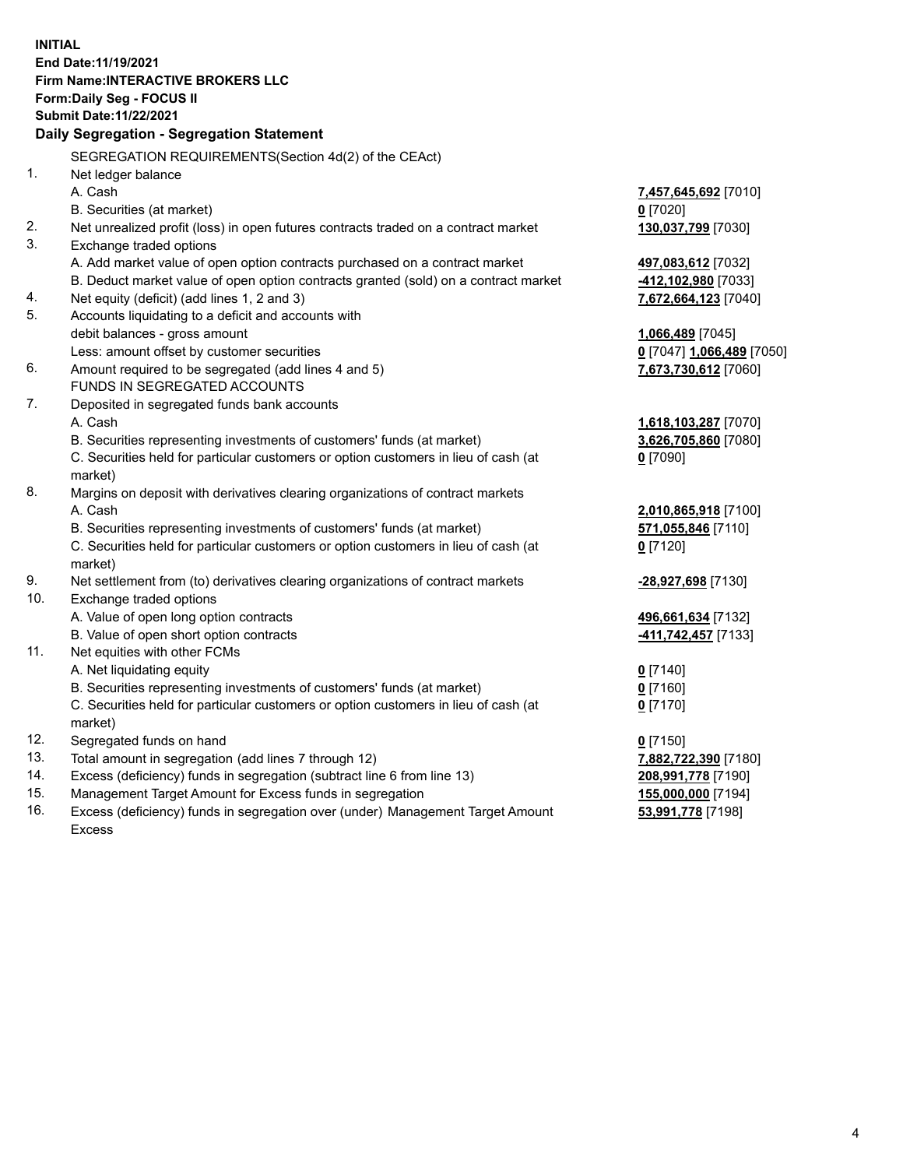**INITIAL End Date:11/19/2021 Firm Name:INTERACTIVE BROKERS LLC Form:Daily Seg - FOCUS II Submit Date:11/22/2021 Daily Segregation - Segregation Statement** SEGREGATION REQUIREMENTS(Section 4d(2) of the CEAct) 1. Net ledger balance A. Cash **7,457,645,692** [7010] B. Securities (at market) **0** [7020] 2. Net unrealized profit (loss) in open futures contracts traded on a contract market **130,037,799** [7030] 3. Exchange traded options A. Add market value of open option contracts purchased on a contract market **497,083,612** [7032] B. Deduct market value of open option contracts granted (sold) on a contract market **-412,102,980** [7033] 4. Net equity (deficit) (add lines 1, 2 and 3) **7,672,664,123** [7040] 5. Accounts liquidating to a deficit and accounts with debit balances - gross amount **1,066,489** [7045] Less: amount offset by customer securities **0** [7047] **1,066,489** [7050] 6. Amount required to be segregated (add lines 4 and 5) **7,673,730,612** [7060] FUNDS IN SEGREGATED ACCOUNTS 7. Deposited in segregated funds bank accounts A. Cash **1,618,103,287** [7070] B. Securities representing investments of customers' funds (at market) **3,626,705,860** [7080] C. Securities held for particular customers or option customers in lieu of cash (at market) **0** [7090] 8. Margins on deposit with derivatives clearing organizations of contract markets A. Cash **2,010,865,918** [7100] B. Securities representing investments of customers' funds (at market) **571,055,846** [7110] C. Securities held for particular customers or option customers in lieu of cash (at market) **0** [7120] 9. Net settlement from (to) derivatives clearing organizations of contract markets **-28,927,698** [7130] 10. Exchange traded options A. Value of open long option contracts **496,661,634** [7132] B. Value of open short option contracts **-411,742,457** [7133] 11. Net equities with other FCMs A. Net liquidating equity **0** [7140] B. Securities representing investments of customers' funds (at market) **0** [7160] C. Securities held for particular customers or option customers in lieu of cash (at market) **0** [7170] 12. Segregated funds on hand **0** [7150] 13. Total amount in segregation (add lines 7 through 12) **7,882,722,390** [7180] 14. Excess (deficiency) funds in segregation (subtract line 6 from line 13) **208,991,778** [7190] 15. Management Target Amount for Excess funds in segregation **155,000,000** [7194] **53,991,778** [7198]

16. Excess (deficiency) funds in segregation over (under) Management Target Amount Excess